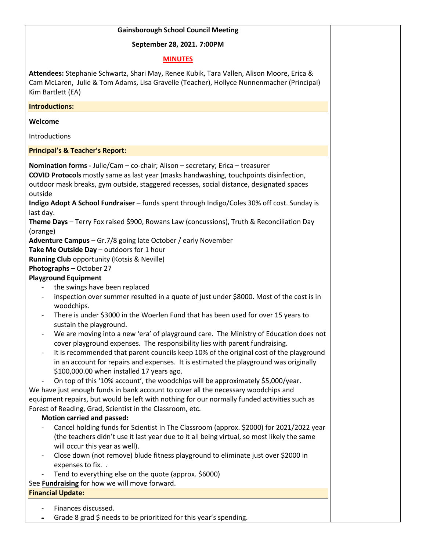### **Gainsborough School Council Meeting**

### **September 28, 2021. 7:00PM**

### **MINUTES**

**Attendees:** Stephanie Schwartz, Shari May, Renee Kubik, Tara Vallen, Alison Moore, Erica & Cam McLaren, Julie & Tom Adams, Lisa Gravelle (Teacher), Hollyce Nunnenmacher (Principal) Kim Bartlett (EA)

**Introductions:**

#### **Welcome**

**Introductions** 

**Principal's & Teacher's Report:**

**Nomination forms -** Julie/Cam – co-chair; Alison – secretary; Erica – treasurer **COVID Protocols** mostly same as last year (masks handwashing, touchpoints disinfection, outdoor mask breaks, gym outside, staggered recesses, social distance, designated spaces outside

**Indigo Adopt A School Fundraiser** – funds spent through Indigo/Coles 30% off cost. Sunday is last day.

**Theme Days** – Terry Fox raised \$900, Rowans Law (concussions), Truth & Reconciliation Day (orange)

**Adventure Campus** – Gr.7/8 going late October / early November

**Take Me Outside Day** – outdoors for 1 hour

**Running Club** opportunity (Kotsis & Neville)

### **Photographs –** October 27

# **Playground Equipment**

- the swings have been replaced
- inspection over summer resulted in a quote of just under \$8000. Most of the cost is in woodchips.
- There is under \$3000 in the Woerlen Fund that has been used for over 15 years to sustain the playground.
- We are moving into a new 'era' of playground care. The Ministry of Education does not cover playground expenses. The responsibility lies with parent fundraising.
- It is recommended that parent councils keep 10% of the original cost of the playground in an account for repairs and expenses. It is estimated the playground was originally \$100,000.00 when installed 17 years ago.

On top of this '10% account', the woodchips will be approximately \$5,000/year. We have just enough funds in bank account to cover all the necessary woodchips and equipment repairs, but would be left with nothing for our normally funded activities such as Forest of Reading, Grad, Scientist in the Classroom, etc.

# **Motion carried and passed:**

- Cancel holding funds for Scientist In The Classroom (approx. \$2000) for 2021/2022 year (the teachers didn't use it last year due to it all being virtual, so most likely the same will occur this year as well).
- Close down (not remove) blude fitness playground to eliminate just over \$2000 in expenses to fix. .
- Tend to everything else on the quote (approx. \$6000)

See **Fundraising** for how we will move forward.

# **Financial Update:**

- Finances discussed.
- Grade 8 grad \$ needs to be prioritized for this year's spending.